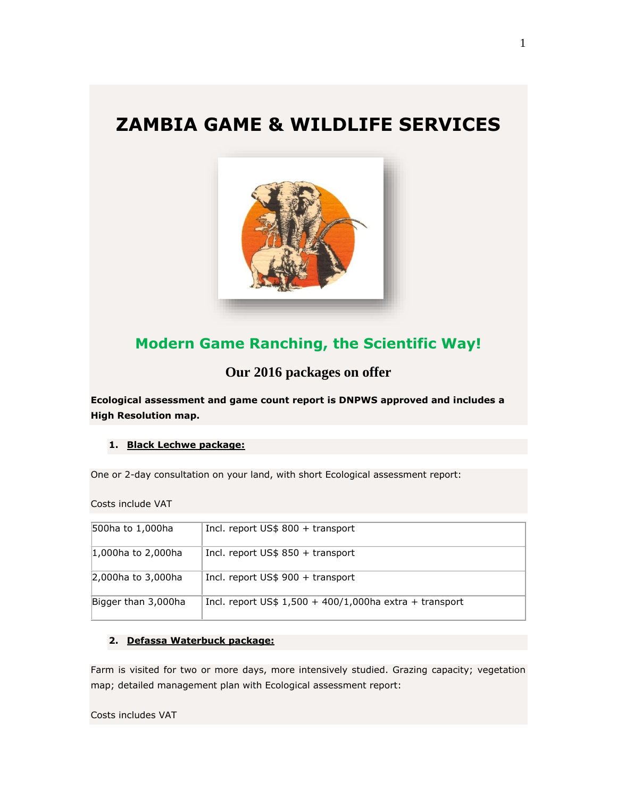# **ZAMBIA GAME & WILDLIFE SERVICES**



## **Modern Game Ranching, the Scientific Way!**

**Our 2016 packages on offer**

**Ecological assessment and game count report is DNPWS approved and includes a High Resolution map.**

## **1. Black Lechwe package:**

One or 2-day consultation on your land, with short Ecological assessment report:

Costs include VAT

| 500ha to 1,000ha       | Incl. report US\$ 800 + transport                         |
|------------------------|-----------------------------------------------------------|
| $ 1,000$ ha to 2,000ha | Incl. report $US$850 + transport$                         |
| 2,000ha to 3,000ha     | Incl. report $US$900 + transport$                         |
| Bigger than 3,000ha    | Incl. report $US$ 1,500 + 400/1,000$ ha extra + transport |

## **2. Defassa Waterbuck package:**

Farm is visited for two or more days, more intensively studied. Grazing capacity; vegetation map; detailed management plan with Ecological assessment report:

Costs includes VAT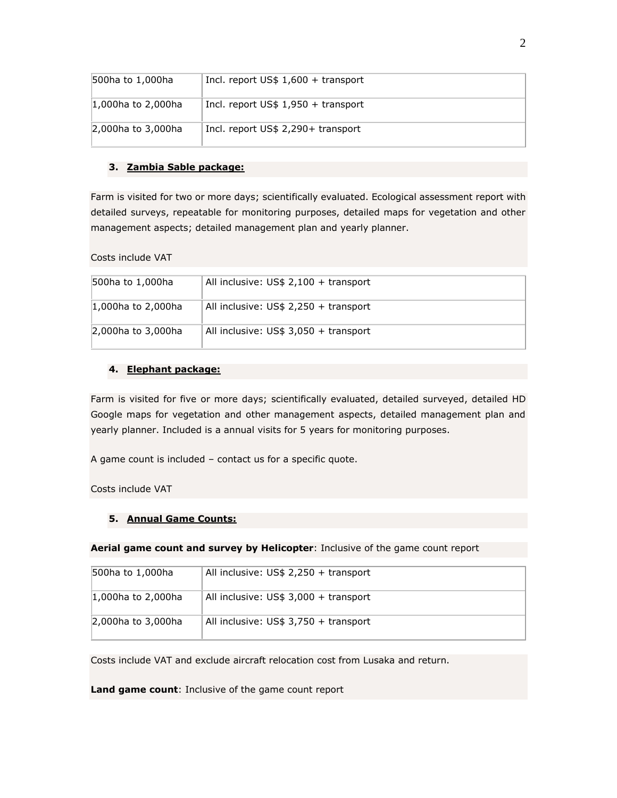| 500ha to 1,000ha       | Incl. report $US$ 1,600 + transport$ |
|------------------------|--------------------------------------|
| $ 1,000$ ha to 2,000ha | Incl. report $US\$ 1,950 + transport |
| 2,000ha to 3,000ha     | Incl. report US\$ 2,290+ transport   |

## **3. Zambia Sable package:**

Farm is visited for two or more days; scientifically evaluated. Ecological assessment report with detailed surveys, repeatable for monitoring purposes, detailed maps for vegetation and other management aspects; detailed management plan and yearly planner.

Costs include VAT

| 500ha to 1,000ha       | All inclusive: $US$ 2,100 + transport$ |
|------------------------|----------------------------------------|
| $ 1,000$ ha to 2,000ha | All inclusive: $US$ 2,250 + transport$ |
| 2,000ha to 3,000ha     | All inclusive: $US$ 3,050 + transport$ |

## **4. Elephant package:**

Farm is visited for five or more days; scientifically evaluated, detailed surveyed, detailed HD Google maps for vegetation and other management aspects, detailed management plan and yearly planner. Included is a annual visits for 5 years for monitoring purposes.

A game count is included – contact us for a specific quote.

Costs include VAT

## **5. Annual Game Counts:**

**Aerial game count and survey by Helicopter**: Inclusive of the game count report

| 500ha to 1,000ha       | All inclusive: $US$ 2,250 + transport$ |
|------------------------|----------------------------------------|
| $ 1,000$ ha to 2,000ha | All inclusive: $US$ 3,000 + transport$ |
| 2,000ha to 3,000ha     | All inclusive: $US$ 3,750 + transport$ |

Costs include VAT and exclude aircraft relocation cost from Lusaka and return.

**Land game count**: Inclusive of the game count report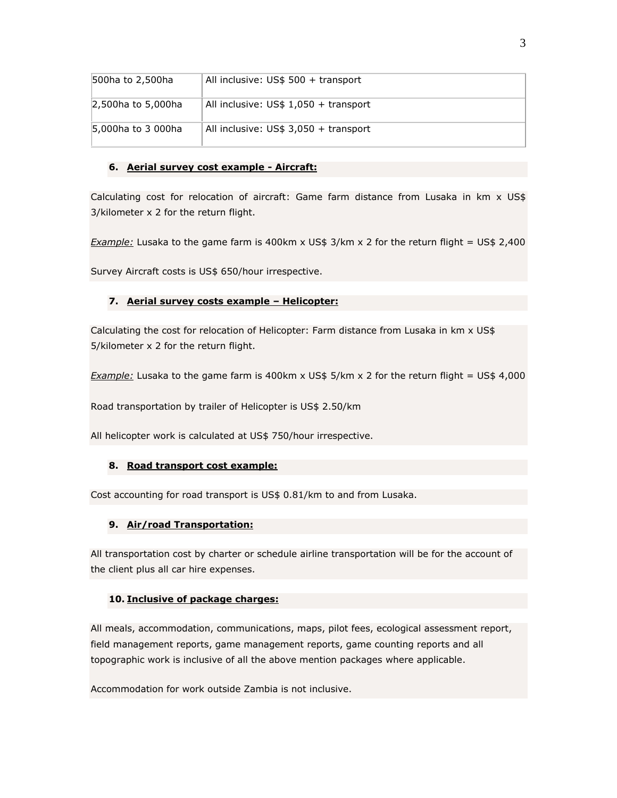| 500ha to 2,500ha   | All inclusive: $US$500 + transport$    |
|--------------------|----------------------------------------|
| 2,500ha to 5,000ha | All inclusive: $US$ 1,050 + transport$ |
| 5,000ha to 3 000ha | All inclusive: $US$ 3,050 + transport$ |

## **6. Aerial survey cost example - Aircraft:**

Calculating cost for relocation of aircraft: Game farm distance from Lusaka in km x US\$ 3/kilometer x 2 for the return flight.

*Example:* Lusaka to the game farm is 400km x US\$ 3/km x 2 for the return flight = US\$ 2,400

Survey Aircraft costs is US\$ 650/hour irrespective.

## **7. Aerial survey costs example – Helicopter:**

Calculating the cost for relocation of Helicopter: Farm distance from Lusaka in km x US\$ 5/kilometer x 2 for the return flight.

*Example:* Lusaka to the game farm is 400km x US\$ 5/km x 2 for the return flight = US\$ 4,000

Road transportation by trailer of Helicopter is US\$ 2.50/km

All helicopter work is calculated at US\$ 750/hour irrespective.

## **8. Road transport cost example:**

Cost accounting for road transport is US\$ 0.81/km to and from Lusaka.

## **9. Air/road Transportation:**

All transportation cost by charter or schedule airline transportation will be for the account of the client plus all car hire expenses.

## **10. Inclusive of package charges:**

All meals, accommodation, communications, maps, pilot fees, ecological assessment report, field management reports, game management reports, game counting reports and all topographic work is inclusive of all the above mention packages where applicable.

Accommodation for work outside Zambia is not inclusive.